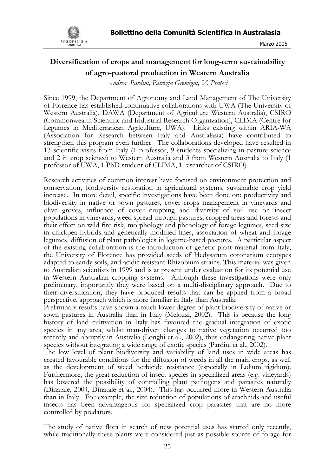

# **Diversification of crops and management for long-term sustainability of agro-pastoral production in Western Australia**

*Andrea Pardini, Patrizia Gremigni, V. Pratesi*

Since 1999, the Department of Agronomy and Land Management of The University of Florence has established continuative collaborations with UWA (The University of Western Australia), DAWA (Department of Agriculture Western Australia), CSIRO (Commonwealth Scientific and Industrial Research Organization), CLIMA (Centre for Legumes in Mediterranean Agriculture, UWA). Links existing within ARIA-WA (Association for Research between Italy and Australasia) have contributed to strengthen this program even further. The collaborations developed have resulted in 13 scientific visits from Italy (1 professor, 9 students specializing in pasture science and 2 in crop science) to Western Australia and 3 from Western Australia to Italy (1 professor of UWA, 1 PhD student of CLIMA, 1 researcher of CSIRO).

Research activities of common interest have focused on environment protection and conservation, biodiversity restoration in agricultural systems, sustainable crop yield increase. In more detail, specific investigations have been done on: productivity and biodiversity in native or sown pastures, cover crops management in vineyards and olive groves, influence of cover cropping and diversity of soil use on insect populations in vineyards, weed spread through pastures, cropped areas and forests and their effect on wild fire risk, morphology and phenology of forage legumes, seed size in chickpea hybrids and genetically modified lines, association of wheat and forage legumes, diffusion of plant pathologies in legume-based pastures. A particular aspect of the existing collaboration is the introduction of genetic plant material from Italy, the University of Florence has provided seeds of Hedysarum coronarium ecotypes adapted to sandy soils, and acidic resistant Rhizobium strains. This material was given to Australian scientists in 1999 and is at present under evaluation for its potential use in Western Australian cropping systems. Although these investigations were only preliminary, importantly they were based on a multi-disciplinary approach. Due to their diversification, they have produced results that can be applied from a broad perspective, approach which is more familiar in Italy than Australia.

Preliminary results have shown a much lower degree of plant biodiversity of native or sown pastures in Australia than in Italy (Melozzi, 2002). This is because the long history of land cultivation in Italy has favoured the gradual integration of exotic species in any area, whilst man-driven changes to native vegetation occurred too recently and abruptly in Australia (Longhi et al., 2002), thus endangering native plant species without integrating a wide range of exotic species (Pardini et al., 2002).

The low level of plant biodiversity and variability of land uses in wide areas has created favourable conditions for the diffusion of weeds in all the main crops, as well as the development of weed herbicide resistance (especially in Lolium rigidum). Furthermore, the great reduction of insect species in specialized areas (e.g. vineyards) has lowered the possibility of controlling plant pathogens and parasites naturally (Dinatale, 2004, Dinatale et al., 2004). This has occurred more in Western Australia than in Italy. For example, the size reduction of populations of arachnids and useful insects has been advantageous for specialized crop parasites that are no more controlled by predators.

The study of native flora in search of new potential uses has started only recently, while traditionally these plants were considered just as possible source of forage for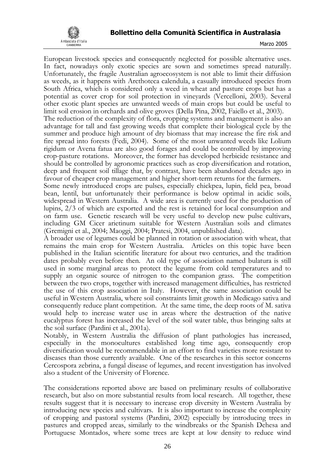

European livestock species and consequently neglected for possible alternative uses. In fact, nowadays only exotic species are sown and sometimes spread naturally. Unfortunately, the fragile Australian agroecosystem is not able to limit their diffusion as weeds, as it happens with Arcthoteca calendula, a casually introduced species from South Africa, which is considered only a weed in wheat and pasture crops but has a potential as cover crop for soil protection in vineyards (Vercelloni, 2003). Several other exotic plant species are unwanted weeds of main crops but could be useful to limit soil erosion in orchards and olive groves (Della Pina, 2002, Faiello et al., 2003). The reduction of the complexity of flora, cropping systems and management is also an advantage for tall and fast growing weeds that complete their biological cycle by the summer and produce high amount of dry biomass that may increase the fire risk and fire spread into forests (Fedi, 2004). Some of the most unwanted weeds like Lolium rigidum or Avena fatua are also good forages and could be controlled by improving crop-pasture rotations. Moreover, the former has developed herbicide resistance and should be controlled by agronomic practices such as crop diversification and rotation, deep and frequent soil tillage that, by contrast, have been abandoned decades ago in

favour of cheaper crop management and higher short-term returns for the farmers. Some newly introduced crops are pulses, especially chickpea, lupin, field pea, broad bean, lentil, but unfortunately their performance is below optimal in acidic soils, widespread in Western Australia. A wide area is currently used for the production of lupins, 2/3 of which are exported and the rest is retained for local consumption and on farm use. Genetic research will be very useful to develop new pulse cultivars, including GM Cicer arietinum suitable for Western Australian soils and climates (Gremigni et al., 2004; Maoggi, 2004; Pratesi, 2004, unpublished data).

A broader use of legumes could be planned in rotation or association with wheat, that remains the main crop for Western Australia. Articles on this topic have been published in the Italian scientific literature for about two centuries, and the tradition dates probably even before then. An old type of association named bulatura is still used in some marginal areas to protect the legume from cold temperatures and to supply an organic source of nitrogen to the companion grass. The competition between the two crops, together with increased management difficulties, has restricted the use of this crop association in Italy. However, the same association could be useful in Western Australia, where soil constraints limit growth in Medicago sativa and consequently reduce plant competition. At the same time, the deep roots of M. sativa would help to increase water use in areas where the destruction of the native eucalyptus forest has increased the level of the soil water table, thus bringing salts at the soil surface (Pardini et al., 2001a).

Notably, in Western Australia the diffusion of plant pathologies has increased, especially in the monocultures established long time ago, consequently crop diversification would be recommendable in an effort to find varieties more resistant to diseases than those currently available. One of the researches in this sector concerns Cercospora zebrina, a fungal disease of legumes, and recent investigation has involved also a student of the University of Florence.

The considerations reported above are based on preliminary results of collaborative research, but also on more substantial results from local research. All together, these results suggest that it is necessary to increase crop diversity in Western Australia by introducing new species and cultivars. It is also important to increase the complexity of cropping and pastoral systems (Pardini, 2002) especially by introducing trees in pastures and cropped areas, similarly to the windbreaks or the Spanish Dehesa and Portuguese Montados, where some trees are kept at low density to reduce wind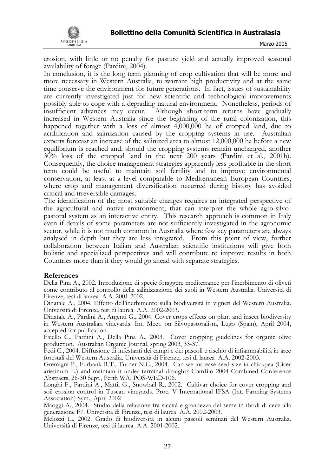

erosion, with little or no penalty for pasture yield and actually improved seasonal availability of forage (Pardini, 2004).

In conclusion, it is the long term planning of crop cultivation that will be more and more necessary in Western Australia, to warrant high productivity and at the same time conserve the environment for future generations. In fact, issues of sustainability are currently investigated just for new scientific and technological improvements possibly able to cope with a degrading natural environment. Nonetheless, periods of insufficient advances may occur. Although short-term returns have gradually increased in Western Australia since the beginning of the rural colonization, this happened together with a loss of almost 4,000,000 ha of cropped land, due to acidification and salinization caused by the cropping systems in use. Australian experts forecast an increase of the salinized area to almost 12,000,000 ha before a new equilibrium is reached and, should the cropping systems remain unchanged, another 30% loss of the cropped land in the next 200 years (Pardini et al., 2001b). Consequently, the choice management strategies apparently less profitable in the short term could be useful to maintain soil fertility and to improve environmental conservation, at least at a level comparable to Mediterranean European Countries, where crop and management diversification occurred during history has avoided critical and irreversible damages.

The identification of the most suitable changes requires an integrated perspective of the agricultural and native environment, that can interpret the whole agro-silvopastoral system as an interactive entity. This research approach is common in Italy even if details of some parameters are not sufficiently investigated in the agronomic sector, while it is not much common in Australia where few key parameters are always analysed in depth but they are less integrated. From this point of view, further collaboration between Italian and Australian scientific institutions will give both holistic and specialized perspectives and will contribute to improve results in both Countries more than if they would go ahead with separate strategies.

#### **References**

Della Pina A., 2002. Introduzione di specie foraggere mediterranee per l'inerbimento di oliveti come contributo al controllo della salinizzazione dei suoli in Western Australia. Università di Firenze, tesi di laurea A.A. 2001-2002.

Dinatale A., 2004. Effetto dell'inerbimento sulla biodiversità in vigneti del Western Australia. Università di Firenze, tesi di laurea A.A. 2002-2003.

Dinatale A., Pardini A., Argenti G., 2004. Cover crops effects on plant and insect biodiversity in Western Australian vineyards. Int. Meet. on Silvopastoralism, Lugo (Spain), April 2004, accepted for publication.

Faiello C., Pardini A., Della Pina A., 2003. Cover cropping guidelines for organic olive production. Australian Organic Journal, spring 2003, 33-37.

Fedi C., 2004. Diffusione di infestanti dei campi e dei pascoli e rischio di infiammabilità in aree forestali del Western Australia. Università di Firenze, tesi di laurea A.A. 2002-2003.

Gremigni P., Furbank R.T., Turner N.C., 2004. Can we increase seed size in chickpea (Cicer arietinum L.) and maintain it under terminal drought? ComBio 2004 Combined Conference Abstracts, 26-30 Sept., Perth WA, POS-WED-106.

Longhi F., Pardini A., Mattii G., Snowball R., 2002. Cultivar choice for cover cropping and soil erosion control in Tuscan vineyards. Proc. V International IFSA (Int. Farming Systems Association) Sym., April 2002

Maoggi A., 2004. Studio della relazione fra siccità e grandezza del seme in ibridi di cece alla generazione F7. Università di Firenze, tesi di laurea A.A. 2002-2003.

Melozzi L., 2002. Grado di biodiversità in alcuni pascoli seminati del Western Australia. Università di Firenze, tesi di laurea A.A. 2001-2002.